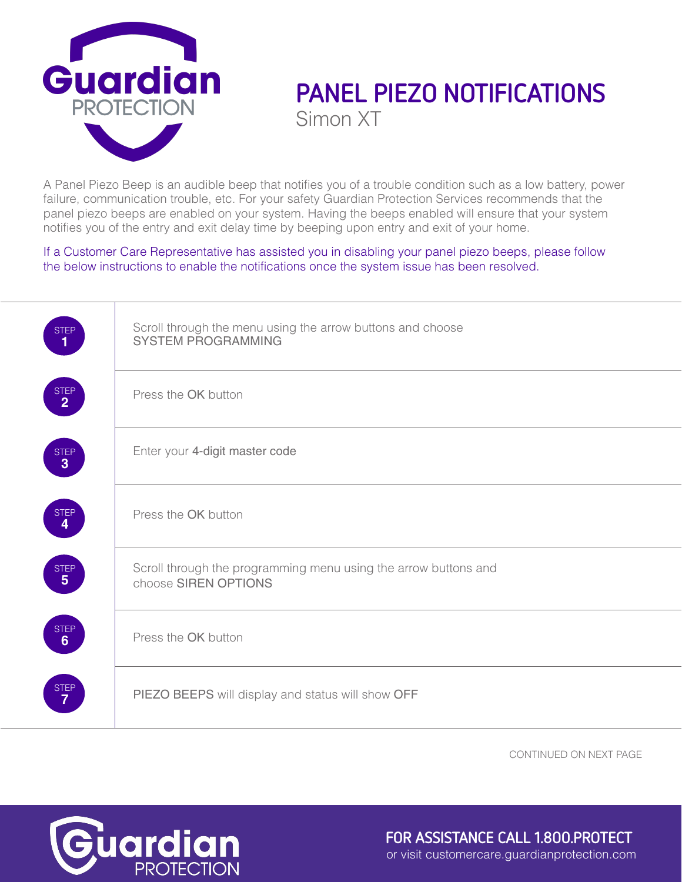

## **PANEL PIEZO NOTIFICATIONS** Simon XT

A Panel Piezo Beep is an audible beep that notifies you of a trouble condition such as a low battery, power failure, communication trouble, etc. For your safety Guardian Protection Services recommends that the panel piezo beeps are enabled on your system. Having the beeps enabled will ensure that your system notifies you of the entry and exit delay time by beeping upon entry and exit of your home.

If a Customer Care Representative has assisted you in disabling your panel piezo beeps, please follow the below instructions to enable the notifications once the system issue has been resolved.

| Scroll through the menu using the arrow buttons and choose<br><b>SYSTEM PROGRAMMING</b><br>Press the OK button<br>Enter your 4-digit master code<br>Press the OK button<br>Scroll through the programming menu using the arrow buttons and<br>choose SIREN OPTIONS<br>Press the OK button<br>PIEZO BEEPS will display and status will show OFF |  |
|------------------------------------------------------------------------------------------------------------------------------------------------------------------------------------------------------------------------------------------------------------------------------------------------------------------------------------------------|--|
|                                                                                                                                                                                                                                                                                                                                                |  |
|                                                                                                                                                                                                                                                                                                                                                |  |
|                                                                                                                                                                                                                                                                                                                                                |  |
|                                                                                                                                                                                                                                                                                                                                                |  |
|                                                                                                                                                                                                                                                                                                                                                |  |
|                                                                                                                                                                                                                                                                                                                                                |  |
|                                                                                                                                                                                                                                                                                                                                                |  |

CONTINUED ON NEXT PAGE